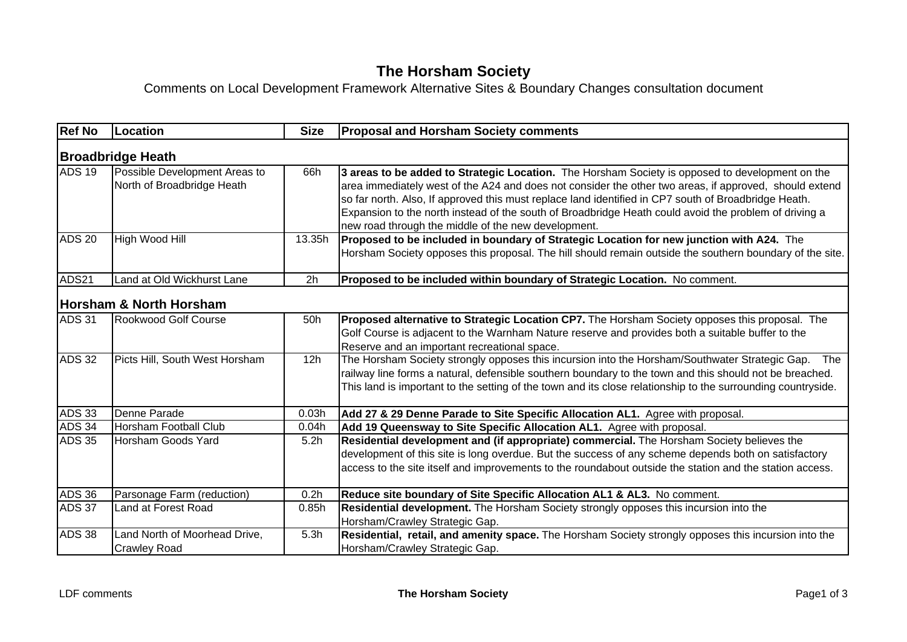## **The Horsham Society**

## Comments on Local Development Framework Alternative Sites & Boundary Changes consultation document

| <b>Ref No</b>            | Location                                                    | <b>Size</b> | <b>Proposal and Horsham Society comments</b>                                                                                                                                                                                                                                                                                                                                                                                                                                      |  |  |  |
|--------------------------|-------------------------------------------------------------|-------------|-----------------------------------------------------------------------------------------------------------------------------------------------------------------------------------------------------------------------------------------------------------------------------------------------------------------------------------------------------------------------------------------------------------------------------------------------------------------------------------|--|--|--|
| <b>Broadbridge Heath</b> |                                                             |             |                                                                                                                                                                                                                                                                                                                                                                                                                                                                                   |  |  |  |
| <b>ADS 19</b>            | Possible Development Areas to<br>North of Broadbridge Heath | 66h         | 3 areas to be added to Strategic Location. The Horsham Society is opposed to development on the<br>area immediately west of the A24 and does not consider the other two areas, if approved, should extend<br>so far north. Also, If approved this must replace land identified in CP7 south of Broadbridge Heath.<br>Expansion to the north instead of the south of Broadbridge Heath could avoid the problem of driving a<br>new road through the middle of the new development. |  |  |  |
| <b>ADS 20</b>            | High Wood Hill                                              | 13.35h      | Proposed to be included in boundary of Strategic Location for new junction with A24. The<br>Horsham Society opposes this proposal. The hill should remain outside the southern boundary of the site.                                                                                                                                                                                                                                                                              |  |  |  |
| ADS21                    | Land at Old Wickhurst Lane                                  | 2h          | Proposed to be included within boundary of Strategic Location. No comment.                                                                                                                                                                                                                                                                                                                                                                                                        |  |  |  |
|                          | <b>Horsham &amp; North Horsham</b>                          |             |                                                                                                                                                                                                                                                                                                                                                                                                                                                                                   |  |  |  |
| <b>ADS 31</b>            | <b>Rookwood Golf Course</b>                                 | 50h         | Proposed alternative to Strategic Location CP7. The Horsham Society opposes this proposal. The<br>Golf Course is adjacent to the Warnham Nature reserve and provides both a suitable buffer to the<br>Reserve and an important recreational space.                                                                                                                                                                                                                                |  |  |  |
| <b>ADS 32</b>            | Picts Hill, South West Horsham                              | 12h         | The Horsham Society strongly opposes this incursion into the Horsham/Southwater Strategic Gap.<br>The<br>railway line forms a natural, defensible southern boundary to the town and this should not be breached.<br>This land is important to the setting of the town and its close relationship to the surrounding countryside.                                                                                                                                                  |  |  |  |
| <b>ADS 33</b>            | Denne Parade                                                | 0.03h       | Add 27 & 29 Denne Parade to Site Specific Allocation AL1. Agree with proposal.                                                                                                                                                                                                                                                                                                                                                                                                    |  |  |  |
| <b>ADS 34</b>            | <b>Horsham Football Club</b>                                | 0.04h       | Add 19 Queensway to Site Specific Allocation AL1. Agree with proposal.                                                                                                                                                                                                                                                                                                                                                                                                            |  |  |  |
| <b>ADS 35</b>            | Horsham Goods Yard                                          | 5.2h        | Residential development and (if appropriate) commercial. The Horsham Society believes the<br>development of this site is long overdue. But the success of any scheme depends both on satisfactory<br>access to the site itself and improvements to the roundabout outside the station and the station access.                                                                                                                                                                     |  |  |  |
| <b>ADS 36</b>            | Parsonage Farm (reduction)                                  | 0.2h        | Reduce site boundary of Site Specific Allocation AL1 & AL3. No comment.                                                                                                                                                                                                                                                                                                                                                                                                           |  |  |  |
| <b>ADS 37</b>            | Land at Forest Road                                         | 0.85h       | Residential development. The Horsham Society strongly opposes this incursion into the<br>Horsham/Crawley Strategic Gap.                                                                                                                                                                                                                                                                                                                                                           |  |  |  |
| <b>ADS 38</b>            | Land North of Moorhead Drive,<br><b>Crawley Road</b>        | 5.3h        | Residential, retail, and amenity space. The Horsham Society strongly opposes this incursion into the<br>Horsham/Crawley Strategic Gap.                                                                                                                                                                                                                                                                                                                                            |  |  |  |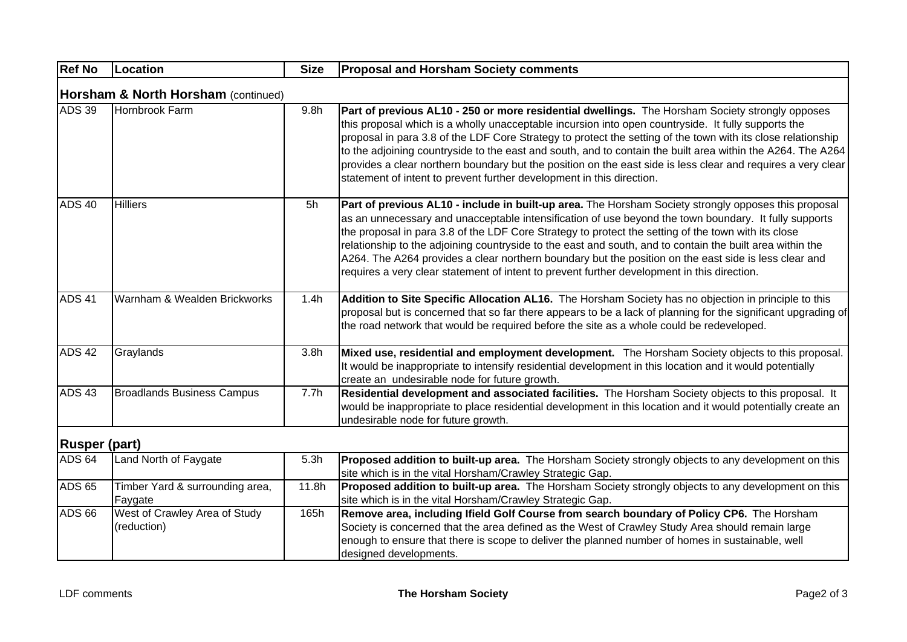| <b>Ref No</b>                       | Location                                     | <b>Size</b>      | <b>Proposal and Horsham Society comments</b>                                                                                                                                                                                                                                                                                                                                                                                                                                                                                                                                                                                              |  |  |  |
|-------------------------------------|----------------------------------------------|------------------|-------------------------------------------------------------------------------------------------------------------------------------------------------------------------------------------------------------------------------------------------------------------------------------------------------------------------------------------------------------------------------------------------------------------------------------------------------------------------------------------------------------------------------------------------------------------------------------------------------------------------------------------|--|--|--|
| Horsham & North Horsham (continued) |                                              |                  |                                                                                                                                                                                                                                                                                                                                                                                                                                                                                                                                                                                                                                           |  |  |  |
| <b>ADS 39</b>                       | Hornbrook Farm                               | 9.8 <sub>h</sub> | Part of previous AL10 - 250 or more residential dwellings. The Horsham Society strongly opposes<br>this proposal which is a wholly unacceptable incursion into open countryside. It fully supports the<br>proposal in para 3.8 of the LDF Core Strategy to protect the setting of the town with its close relationship<br>to the adjoining countryside to the east and south, and to contain the built area within the A264. The A264<br>provides a clear northern boundary but the position on the east side is less clear and requires a very clear<br>statement of intent to prevent further development in this direction.            |  |  |  |
| <b>ADS 40</b>                       | <b>Hilliers</b>                              | 5h               | Part of previous AL10 - include in built-up area. The Horsham Society strongly opposes this proposal<br>as an unnecessary and unacceptable intensification of use beyond the town boundary. It fully supports<br>the proposal in para 3.8 of the LDF Core Strategy to protect the setting of the town with its close<br>relationship to the adjoining countryside to the east and south, and to contain the built area within the<br>A264. The A264 provides a clear northern boundary but the position on the east side is less clear and<br>requires a very clear statement of intent to prevent further development in this direction. |  |  |  |
| <b>ADS 41</b>                       | Warnham & Wealden Brickworks                 | 1.4h             | Addition to Site Specific Allocation AL16. The Horsham Society has no objection in principle to this<br>proposal but is concerned that so far there appears to be a lack of planning for the significant upgrading of<br>the road network that would be required before the site as a whole could be redeveloped.                                                                                                                                                                                                                                                                                                                         |  |  |  |
| <b>ADS 42</b>                       | Graylands                                    | 3.8 <sub>h</sub> | Mixed use, residential and employment development. The Horsham Society objects to this proposal.<br>It would be inappropriate to intensify residential development in this location and it would potentially<br>create an undesirable node for future growth.                                                                                                                                                                                                                                                                                                                                                                             |  |  |  |
| <b>ADS 43</b>                       | <b>Broadlands Business Campus</b>            | 7.7h             | Residential development and associated facilities. The Horsham Society objects to this proposal. It<br>would be inappropriate to place residential development in this location and it would potentially create an<br>undesirable node for future growth.                                                                                                                                                                                                                                                                                                                                                                                 |  |  |  |
|                                     | <b>Rusper (part)</b>                         |                  |                                                                                                                                                                                                                                                                                                                                                                                                                                                                                                                                                                                                                                           |  |  |  |
| ADS <sub>64</sub>                   | Land North of Faygate                        | 5.3h             | Proposed addition to built-up area. The Horsham Society strongly objects to any development on this<br>site which is in the vital Horsham/Crawley Strategic Gap.                                                                                                                                                                                                                                                                                                                                                                                                                                                                          |  |  |  |
| <b>ADS 65</b>                       | Timber Yard & surrounding area,<br>Faygate   | 11.8h            | Proposed addition to built-up area. The Horsham Society strongly objects to any development on this<br>site which is in the vital Horsham/Crawley Strategic Gap.                                                                                                                                                                                                                                                                                                                                                                                                                                                                          |  |  |  |
| <b>ADS 66</b>                       | West of Crawley Area of Study<br>(reduction) | 165h             | Remove area, including Ifield Golf Course from search boundary of Policy CP6. The Horsham<br>Society is concerned that the area defined as the West of Crawley Study Area should remain large<br>enough to ensure that there is scope to deliver the planned number of homes in sustainable, well<br>designed developments.                                                                                                                                                                                                                                                                                                               |  |  |  |